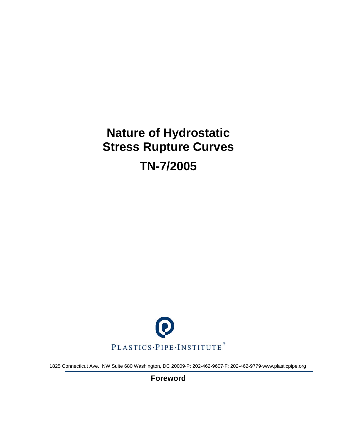# **Nature of Hydrostatic Stress Rupture Curves TN-7/2005**



1825 Connecticut Ave., NW Suite 680 Washington, DC 20009·P: 202-462-9607·F: 202-462-9779·www.plasticpipe.org

**Foreword**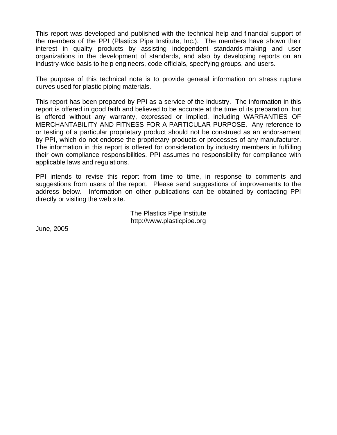This report was developed and published with the technical help and financial support of the members of the PPI (Plastics Pipe Institute, Inc.). The members have shown their interest in quality products by assisting independent standards-making and user organizations in the development of standards, and also by developing reports on an industry-wide basis to help engineers, code officials, specifying groups, and users.

The purpose of this technical note is to provide general information on stress rupture curves used for plastic piping materials.

This report has been prepared by PPI as a service of the industry. The information in this report is offered in good faith and believed to be accurate at the time of its preparation, but is offered without any warranty, expressed or implied, including WARRANTIES OF MERCHANTABILITY AND FITNESS FOR A PARTICULAR PURPOSE. Any reference to or testing of a particular proprietary product should not be construed as an endorsement by PPI, which do not endorse the proprietary products or processes of any manufacturer. The information in this report is offered for consideration by industry members in fulfilling their own compliance responsibilities. PPI assumes no responsibility for compliance with applicable laws and regulations.

PPI intends to revise this report from time to time, in response to comments and suggestions from users of the report. Please send suggestions of improvements to the address below. Information on other publications can be obtained by contacting PPI directly or visiting the web site.

> The Plastics Pipe Institute http://www.plasticpipe.org

June, 2005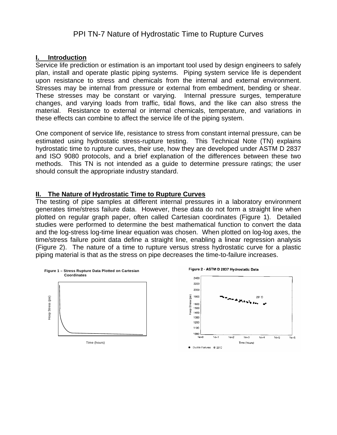# PPI TN-7 Nature of Hydrostatic Time to Rupture Curves

#### **I. Introduction**

Service life prediction or estimation is an important tool used by design engineers to safely plan, install and operate plastic piping systems. Piping system service life is dependent upon resistance to stress and chemicals from the internal and external environment. Stresses may be internal from pressure or external from embedment, bending or shear. These stresses may be constant or varying. Internal pressure surges, temperature changes, and varying loads from traffic, tidal flows, and the like can also stress the material. Resistance to external or internal chemicals, temperature, and variations in these effects can combine to affect the service life of the piping system.

One component of service life, resistance to stress from constant internal pressure, can be estimated using hydrostatic stress-rupture testing. This Technical Note (TN) explains hydrostatic time to rupture curves, their use, how they are developed under ASTM D 2837 and ISO 9080 protocols, and a brief explanation of the differences between these two methods. This TN is not intended as a guide to determine pressure ratings; the user should consult the appropriate industry standard.

#### **II. The Nature of Hydrostatic Time to Rupture Curves**

The testing of pipe samples at different internal pressures in a laboratory environment generates time/stress failure data. However, these data do not form a straight line when plotted on regular graph paper, often called Cartesian coordinates (Figure 1). Detailed studies were performed to determine the best mathematical function to convert the data and the log-stress log-time linear equation was chosen. When plotted on log-log axes, the time/stress failure point data define a straight line, enabling a linear regression analysis (Figure 2). The nature of a time to rupture versus stress hydrostatic curve for a plastic piping material is that as the stress on pipe decreases the time-to-failure increases.

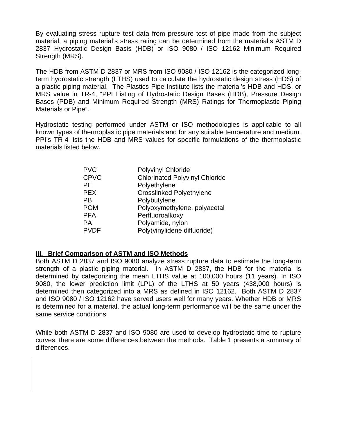By evaluating stress rupture test data from pressure test of pipe made from the subject material, a piping material's stress rating can be determined from the material's ASTM D 2837 Hydrostatic Design Basis (HDB) or ISO 9080 / ISO 12162 Minimum Required Strength (MRS).

The HDB from ASTM D 2837 or MRS from ISO 9080 / ISO 12162 is the categorized longterm hydrostatic strength (LTHS) used to calculate the hydrostatic design stress (HDS) of a plastic piping material. The Plastics Pipe Institute lists the material's HDB and HDS, or MRS value in TR-4, "PPI Listing of Hydrostatic Design Bases (HDB), Pressure Design Bases (PDB) and Minimum Required Strength (MRS) Ratings for Thermoplastic Piping Materials or Pipe".

Hydrostatic testing performed under ASTM or ISO methodologies is applicable to all known types of thermoplastic pipe materials and for any suitable temperature and medium. PPI's TR-4 lists the HDB and MRS values for specific formulations of the thermoplastic materials listed below.

| <b>PVC</b>  | <b>Polyvinyl Chloride</b>             |
|-------------|---------------------------------------|
| <b>CPVC</b> | <b>Chlorinated Polyvinyl Chloride</b> |
| <b>PE</b>   | Polyethylene                          |
| <b>PEX</b>  | <b>Crosslinked Polyethylene</b>       |
| <b>PB</b>   | Polybutylene                          |
| <b>POM</b>  | Polyoxymethylene, polyacetal          |
| <b>PFA</b>  | Perfluoroalkoxy                       |
| <b>PA</b>   | Polyamide, nylon                      |
| <b>PVDF</b> | Poly(vinylidene difluoride)           |

## **III. Brief Comparison of ASTM and ISO Methods**

Both ASTM D 2837 and ISO 9080 analyze stress rupture data to estimate the long-term strength of a plastic piping material. In ASTM D 2837, the HDB for the material is determined by categorizing the mean LTHS value at 100,000 hours (11 years). In ISO 9080, the lower prediction limit (LPL) of the LTHS at 50 years (438,000 hours) is determined then categorized into a MRS as defined in ISO 12162. Both ASTM D 2837 and ISO 9080 / ISO 12162 have served users well for many years. Whether HDB or MRS is determined for a material, the actual long-term performance will be the same under the same service conditions.

While both ASTM D 2837 and ISO 9080 are used to develop hydrostatic time to rupture curves, there are some differences between the methods. Table 1 presents a summary of differences.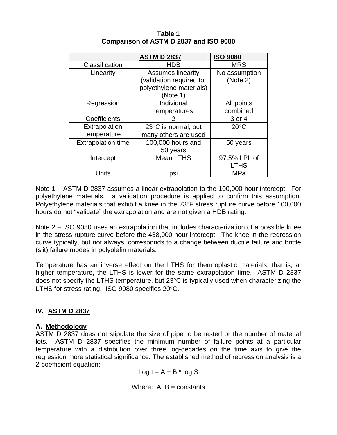|                           | <b>ASTM D 2837</b>       | <b>ISO 9080</b> |
|---------------------------|--------------------------|-----------------|
| Classification            | <b>HDB</b>               | <b>MRS</b>      |
| Linearity                 | <b>Assumes linearity</b> | No assumption   |
|                           | (validation required for | (Note 2)        |
|                           | polyethylene materials)  |                 |
|                           | (Note 1)                 |                 |
| Regression                | Individual               | All points      |
|                           | temperatures             | combined        |
| Coefficients              |                          | 3 or 4          |
| Extrapolation             | 23°C is normal, but      | $20^{\circ}$ C  |
| temperature               | many others are used     |                 |
| <b>Extrapolation time</b> | 100,000 hours and        | 50 years        |
|                           | 50 years                 |                 |
| Intercept                 | <b>Mean LTHS</b>         | 97.5% LPL of    |
|                           |                          | <b>LTHS</b>     |
| Units                     | psi                      | MPa             |

**Table 1 Comparison of ASTM D 2837 and ISO 9080** 

Note 1 – ASTM D 2837 assumes a linear extrapolation to the 100,000-hour intercept. For polyethylene materials, a validation procedure is applied to confirm this assumption. Polyethylene materials that exhibit a knee in the 73°F stress rupture curve before 100,000 hours do not "validate" the extrapolation and are not given a HDB rating.

Note 2 – ISO 9080 uses an extrapolation that includes characterization of a possible knee in the stress rupture curve before the 438,000-hour intercept. The knee in the regression curve typically, but not always, corresponds to a change between ductile failure and brittle (slit) failure modes in polyolefin materials.

Temperature has an inverse effect on the LTHS for thermoplastic materials; that is, at higher temperature, the LTHS is lower for the same extrapolation time. ASTM D 2837 does not specify the LTHS temperature, but 23°C is typically used when characterizing the LTHS for stress rating. ISO 9080 specifies 20°C.

# **IV. ASTM D 2837**

## **A. Methodology**

ASTM D 2837 does not stipulate the size of pipe to be tested or the number of material lots. ASTM D 2837 specifies the minimum number of failure points at a particular temperature with a distribution over three log-decades on the time axis to give the regression more statistical significance. The established method of regression analysis is a 2-coefficient equation:

Log  $t = A + B^*$  log S

Where:  $A$ ,  $B =$  constants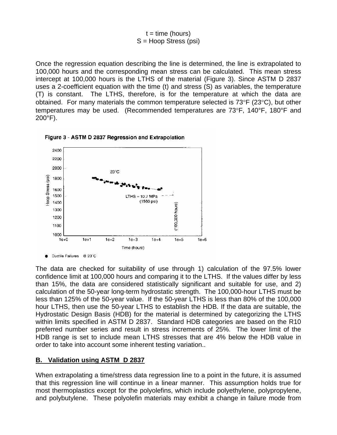$$
t = time (hours)
$$

$$
S = Hoop Stress (psi)
$$

Once the regression equation describing the line is determined, the line is extrapolated to 100,000 hours and the corresponding mean stress can be calculated. This mean stress intercept at 100,000 hours is the LTHS of the material (Figure 3). Since ASTM D 2837 uses a 2-coefficient equation with the time (t) and stress (S) as variables, the temperature (T) is constant. The LTHS, therefore, is for the temperature at which the data are obtained. For many materials the common temperature selected is 73°F (23°C), but other temperatures may be used. (Recommended temperatures are 73°F, 140°F, 180°F and 200°F).





Ductile Failures @ 23°C

 The data are checked for suitability of use through 1) calculation of the 97.5% lower confidence limit at 100,000 hours and comparing it to the LTHS. If the values differ by less than 15%, the data are considered statistically significant and suitable for use, and 2) calculation of the 50-year long-term hydrostatic strength. The 100,000-hour LTHS must be less than 125% of the 50-year value. If the 50-year LTHS is less than 80% of the 100,000 hour LTHS, then use the 50-year LTHS to establish the HDB. If the data are suitable, the Hydrostatic Design Basis (HDB) for the material is determined by categorizing the LTHS within limits specified in ASTM D 2837. Standard HDB categories are based on the R10 preferred number series and result in stress increments of 25%. The lower limit of the HDB range is set to include mean LTHS stresses that are 4% below the HDB value in order to take into account some inherent testing variation..

#### **B. Validation using ASTM D 2837**

When extrapolating a time/stress data regression line to a point in the future, it is assumed that this regression line will continue in a linear manner. This assumption holds true for most thermoplastics except for the polyolefins, which include polyethylene, polypropylene, and polybutylene. These polyolefin materials may exhibit a change in failure mode from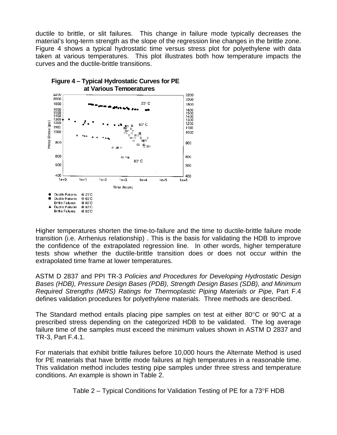ductile to brittle, or slit failures. This change in failure mode typically decreases the material's long-term strength as the slope of the regression line changes in the brittle zone. Figure 4 shows a typical hydrostatic time versus stress plot for polyethylene with data taken at various temperatures. This plot illustrates both how temperature impacts the curves and the ductile-brittle transitions.



Higher temperatures shorten the time-to-failure and the time to ductile-brittle failure mode transition (i.e. Arrhenius relationship) . This is the basis for validating the HDB to improve the confidence of the extrapolated regression line. In other words, higher temperature tests show whether the ductile-brittle transition does or does not occur within the extrapolated time frame at lower temperatures.

ASTM D 2837 and PPI TR-3 *Policies and Procedures for Developing Hydrostatic Design Bases (HDB), Pressure Design Bases (PDB), Strength Design Bases (SDB), and Minimum Required Strengths (MRS) Ratings for Thermoplastic Piping Materials or Pipe*, Part F.4 defines validation procedures for polyethylene materials. Three methods are described.

The Standard method entails placing pipe samples on test at either 80°C or 90°C at a prescribed stress depending on the categorized HDB to be validated. The log average failure time of the samples must exceed the minimum values shown in ASTM D 2837 and TR-3, Part F.4.1.

For materials that exhibit brittle failures before 10,000 hours the Alternate Method is used for PE materials that have brittle mode failures at high temperatures in a reasonable time. This validation method includes testing pipe samples under three stress and temperature conditions. An example is shown in Table 2.

Table 2 – Typical Conditions for Validation Testing of PE for a 73°F HDB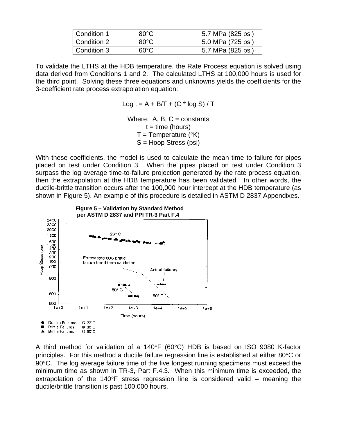| Condition 1 | $80^{\circ}$ C | 5.7 MPa (825 psi) |
|-------------|----------------|-------------------|
| Condition 2 | $80^{\circ}$ C | 5.0 MPa (725 psi) |
| Condition 3 | $60^{\circ}$ C | 5.7 MPa (825 psi) |

To validate the LTHS at the HDB temperature, the Rate Process equation is solved using data derived from Conditions 1 and 2. The calculated LTHS at 100,000 hours is used for the third point. Solving these three equations and unknowns yields the coefficients for the 3-coefficient rate process extrapolation equation:

Log  $t = A + B/T + (C * log S)/T$ 

Where: A, B,  $C =$  constants  $t =$  time (hours)  $T =$ Temperature ( $\mathrm{PK}$ ) S = Hoop Stress (psi)

With these coefficients, the model is used to calculate the mean time to failure for pipes placed on test under Condition 3. When the pipes placed on test under Condition 3 surpass the log average time-to-failure projection generated by the rate process equation, then the extrapolation at the HDB temperature has been validated. In other words, the ductile-brittle transition occurs after the 100,000 hour intercept at the HDB temperature (as shown in Figure 5). An example of this procedure is detailed in ASTM D 2837 Appendixes.



A third method for validation of a 140°F (60°C) HDB is based on ISO 9080 K-factor principles. For this method a ductile failure regression line is established at either 80°C or 90°C. The log average failure time of the five longest running specimens must exceed the minimum time as shown in TR-3, Part F.4.3. When this minimum time is exceeded, the extrapolation of the 140°F stress regression line is considered valid – meaning the ductile/brittle transition is past 100,000 hours.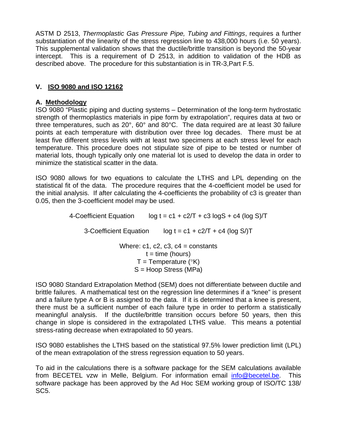ASTM D 2513, *Thermoplastic Gas Pressure Pipe, Tubing and Fittings*, requires a further substantiation of the linearity of the stress regression line to 438,000 hours (i.e. 50 years). This supplemental validation shows that the ductile/brittle transition is beyond the 50-year intercept. This is a requirement of D 2513, in addition to validation of the HDB as described above. The procedure for this substantiation is in TR-3,Part F.5.

# **V. ISO 9080 and ISO 12162**

## **A. Methodology**

ISO 9080 "Plastic piping and ducting systems – Determination of the long-term hydrostatic strength of thermoplastics materials in pipe form by extrapolation", requires data at two or three temperatures, such as 20°, 60° and 80°C. The data required are at least 30 failure points at each temperature with distribution over three log decades. There must be at least five different stress levels with at least two specimens at each stress level for each temperature. This procedure does not stipulate size of pipe to be tested or number of material lots, though typically only one material lot is used to develop the data in order to minimize the statistical scatter in the data.

ISO 9080 allows for two equations to calculate the LTHS and LPL depending on the statistical fit of the data. The procedure requires that the 4-coefficient model be used for the initial analysis. If after calculating the 4-coefficients the probability of c3 is greater than 0.05, then the 3-coefficient model may be used.

> 4-Coefficient Equation log  $t = c1 + c2/T + c3 \log S + c4$  (log S)/T 3-Coefficient Equation log  $t = c1 + c2/T + c4$  (log S/)T Where:  $c1$ ,  $c2$ ,  $c3$ ,  $c4$  = constants  $t =$  time (hours)  $T =$ Temperature ( $\mathrm{P}(\mathrm{K})$ S = Hoop Stress (MPa)

ISO 9080 Standard Extrapolation Method (SEM) does not differentiate between ductile and brittle failures. A mathematical test on the regression line determines if a "knee" is present and a failure type A or B is assigned to the data. If it is determined that a knee is present, there must be a sufficient number of each failure type in order to perform a statistically meaningful analysis. If the ductile/brittle transition occurs before 50 years, then this change in slope is considered in the extrapolated LTHS value. This means a potential stress-rating decrease when extrapolated to 50 years.

ISO 9080 establishes the LTHS based on the statistical 97.5% lower prediction limit (LPL) of the mean extrapolation of the stress regression equation to 50 years.

To aid in the calculations there is a software package for the SEM calculations available from BECETEL vzw in Melle, Belgium. For information email info@becetel.be. This software package has been approved by the Ad Hoc SEM working group of ISO/TC 138/ SC5.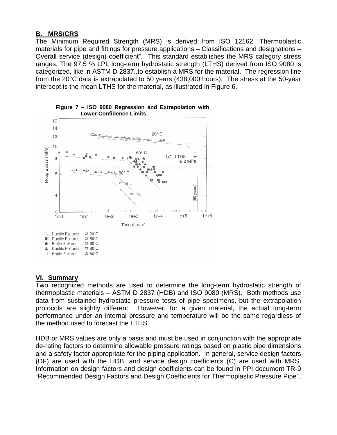## **B. MRS/CRS**

The Minimum Required Strength (MRS) is derived from ISO 12162 "Thermoplastic materials for pipe and fittings for pressure applications – Classifications and designations – Overall service (design) coefficient". This standard establishes the MRS category stress ranges. The 97.5 % LPL long-term hydrostatic strength (LTHS) derived from ISO 9080 is categorized, like in ASTM D 2837,.to establish a MRS for the material. The regression line from the 20°C data is extrapolated to 50 years (438,000 hours). The stress at the 50-year intercept is the mean LTHS for the material, as illustrated in Figure 6.





## **VI. Summary**

Two recognized methods are used to determine the long-term hydrostatic strength of thermoplastic materials – ASTM D 2837 (HDB) and ISO 9080 (MRS). Both methods use data from sustained hydrostatic pressure tests of pipe specimens, but the extrapolation protocols are slightly different. However, for a given material, the actual long-term performance under an internal pressure and temperature will be the same regardless of the method used to forecast the LTHS.

HDB or MRS values are only a basis and must be used in conjunction with the appropriate de-rating factors to determine allowable pressure ratings based on plastic pipe dimensions and a safety factor appropriate for the piping application. In general, service design factors (DF) are used with the HDB, and service design coefficients (C) are used with MRS. Information on design factors and design coefficients can be found in PPI document TR-9 "Recommended Design Factors and Design Coefficients for Thermoplastic Pressure Pipe".